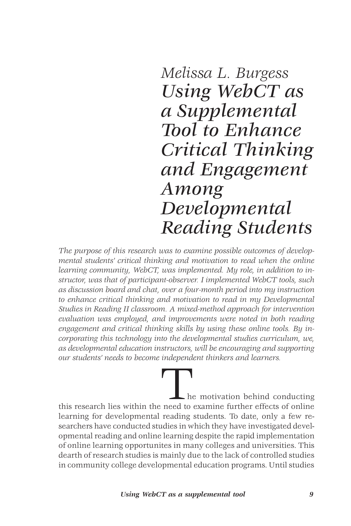*Melissa L. Burgess Using WebCT as a Supplemental Tool to Enhance Critical Thinking and Engagement Among Developmental Reading Students*

*The purpose of this research was to examine possible outcomes of developmental students' critical thinking and motivation to read when the online learning community, WebCT, was implemented. My role, in addition to instructor, was that of participant-observer. I implemented WebCT tools, such as discussion board and chat, over a four-month period into my instruction to enhance critical thinking and motivation to read in my Developmental Studies in Reading II classroom. A mixed-method approach for intervention evaluation was employed, and improvements were noted in both reading engagement and critical thinking skills by using these online tools. By incorporating this technology into the developmental studies curriculum, we, as developmental education instructors, will be encouraging and supporting our students' needs to become independent thinkers and learners.*

. he motivation behind conducting this research lies within the need to examine further effects of online learning for developmental reading students. To date, only a few researchers have conducted studies in which they have investigated developmental reading and online learning despite the rapid implementation of online learning opportunites in many colleges and universities. This dearth of research studies is mainly due to the lack of controlled studies in community college developmental education programs. Until studies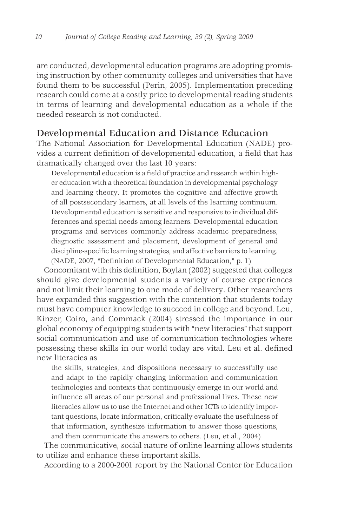are conducted, developmental education programs are adopting promising instruction by other community colleges and universities that have found them to be successful (Perin, 2005). Implementation preceding research could come at a costly price to developmental reading students in terms of learning and developmental education as a whole if the needed research is not conducted.

## Developmental Education and Distance Education

The National Association for Developmental Education (NADE) provides a current definition of developmental education, a field that has dramatically changed over the last 10 years:

Developmental education is a field of practice and research within higher education with a theoretical foundation in developmental psychology and learning theory. It promotes the cognitive and affective growth of all postsecondary learners, at all levels of the learning continuum. Developmental education is sensitive and responsive to individual differences and special needs among learners. Developmental education programs and services commonly address academic preparedness, diagnostic assessment and placement, development of general and discipline-specific learning strategies, and affective barriers to learning. (NADE, 2007, "Definition of Developmental Education," p. 1)

Concomitant with this definition, Boylan (2002) suggested that colleges should give developmental students a variety of course experiences and not limit their learning to one mode of delivery. Other researchers have expanded this suggestion with the contention that students today must have computer knowledge to succeed in college and beyond. Leu, Kinzer, Coiro, and Commack (2004) stressed the importance in our global economy of equipping students with "new literacies" that support social communication and use of communication technologies where possessing these skills in our world today are vital. Leu et al. defined new literacies as

the skills, strategies, and dispositions necessary to successfully use and adapt to the rapidly changing information and communication technologies and contexts that continuously emerge in our world and influence all areas of our personal and professional lives. These new literacies allow us to use the Internet and other ICTs to identify important questions, locate information, critically evaluate the usefulness of that information, synthesize information to answer those questions, and then communicate the answers to others. (Leu, et al., 2004)

The communicative, social nature of online learning allows students to utilize and enhance these important skills.

According to a 2000-2001 report by the National Center for Education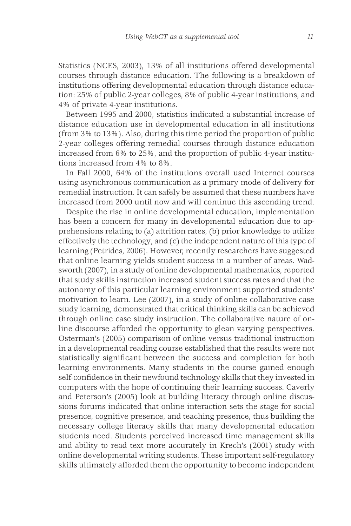Statistics (NCES, 2003), 13% of all institutions offered developmental courses through distance education. The following is a breakdown of institutions offering developmental education through distance education: 25% of public 2-year colleges, 8% of public 4-year institutions, and 4% of private 4-year institutions.

Between 1995 and 2000, statistics indicated a substantial increase of distance education use in developmental education in all institutions (from 3% to 13%). Also, during this time period the proportion of public 2-year colleges offering remedial courses through distance education increased from 6% to 25%, and the proportion of public 4-year institutions increased from 4% to 8%.

In Fall 2000, 64% of the institutions overall used Internet courses using asynchronous communication as a primary mode of delivery for remedial instruction. It can safely be assumed that these numbers have increased from 2000 until now and will continue this ascending trend.

Despite the rise in online developmental education, implementation has been a concern for many in developmental education due to apprehensions relating to (a) attrition rates, (b) prior knowledge to utilize effectively the technology, and (c) the independent nature of this type of learning (Petrides, 2006). However, recently researchers have suggested that online learning yields student success in a number of areas. Wadsworth (2007), in a study of online developmental mathematics, reported that study skills instruction increased student success rates and that the autonomy of this particular learning environment supported students' motivation to learn. Lee (2007), in a study of online collaborative case study learning, demonstrated that critical thinking skills can be achieved through online case study instruction. The collaborative nature of online discourse afforded the opportunity to glean varying perspectives. Osterman's (2005) comparison of online versus traditional instruction in a developmental reading course established that the results were not statistically significant between the success and completion for both learning environments. Many students in the course gained enough self-confidence in their newfound technology skills that they invested in computers with the hope of continuing their learning success. Caverly and Peterson's (2005) look at building literacy through online discussions forums indicated that online interaction sets the stage for social presence, cognitive presence, and teaching presence, thus building the necessary college literacy skills that many developmental education students need. Students perceived increased time management skills and ability to read text more accurately in Krech's (2001) study with online developmental writing students. These important self-regulatory skills ultimately afforded them the opportunity to become independent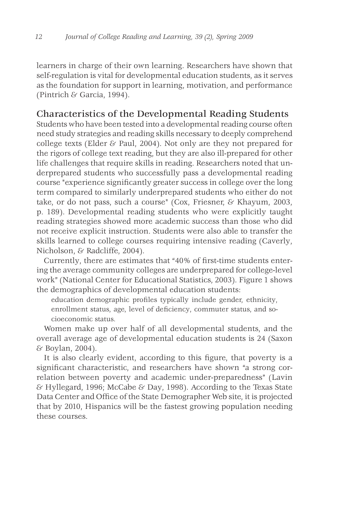learners in charge of their own learning. Researchers have shown that self-regulation is vital for developmental education students, as it serves as the foundation for support in learning, motivation, and performance (Pintrich & Garcia, 1994).

# Characteristics of the Developmental Reading Students

Students who have been tested into a developmental reading course often need study strategies and reading skills necessary to deeply comprehend college texts (Elder & Paul, 2004). Not only are they not prepared for the rigors of college text reading, but they are also ill-prepared for other life challenges that require skills in reading. Researchers noted that underprepared students who successfully pass a developmental reading course "experience significantly greater success in college over the long term compared to similarly underprepared students who either do not take, or do not pass, such a course" (Cox, Friesner, & Khayum, 2003, p. 189). Developmental reading students who were explicitly taught reading strategies showed more academic success than those who did not receive explicit instruction. Students were also able to transfer the skills learned to college courses requiring intensive reading (Caverly, Nicholson, & Radcliffe, 2004).

Currently, there are estimates that "40% of first-time students entering the average community colleges are underprepared for college-level work" (National Center for Educational Statistics, 2003). Figure 1 shows the demographics of developmental education students:

education demographic profiles typically include gender, ethnicity, enrollment status, age, level of deficiency, commuter status, and socioeconomic status.

Women make up over half of all developmental students, and the overall average age of developmental education students is 24 (Saxon & Boylan, 2004).

It is also clearly evident, according to this figure, that poverty is a significant characteristic, and researchers have shown "a strong correlation between poverty and academic under-preparedness" (Lavin & Hyllegard, 1996; McCabe & Day, 1998). According to the Texas State Data Center and Office of the State Demographer Web site, it is projected that by 2010, Hispanics will be the fastest growing population needing these courses.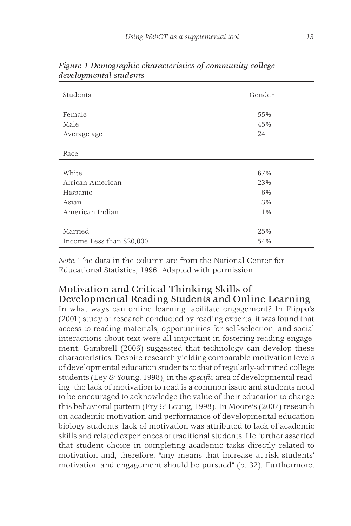| Students                  | Gender |
|---------------------------|--------|
|                           |        |
| Female                    | 55%    |
| Male                      | 45%    |
| Average age               | 24     |
|                           |        |
| Race                      |        |
|                           |        |
| White                     | 67%    |
| African American          | 23%    |
| Hispanic                  | 6%     |
| Asian                     | 3%     |
| American Indian           | 1%     |
|                           |        |
| Married                   | 25%    |
| Income Less than \$20,000 | 54%    |

*Figure 1 Demographic characteristics of community college developmental students*

*Note.* The data in the column are from the National Center for Educational Statistics, 1996. Adapted with permission.

# Motivation and Critical Thinking Skills of Developmental Reading Students and Online Learning

In what ways can online learning facilitate engagement? In Flippo's (2001) study of research conducted by reading experts, it was found that access to reading materials, opportunities for self-selection, and social interactions about text were all important in fostering reading engagement. Gambrell (2006) suggested that technology can develop these characteristics. Despite research yielding comparable motivation levels of developmental education students to that of regularly-admitted college students (Ley & Young, 1998), in the *specific* area of developmental reading, the lack of motivation to read is a common issue and students need to be encouraged to acknowledge the value of their education to change this behavioral pattern (Fry & Ecung, 1998). In Moore's (2007) research on academic motivation and performance of developmental education biology students, lack of motivation was attributed to lack of academic skills and related experiences of traditional students. He further asserted that student choice in completing academic tasks directly related to motivation and, therefore, "any means that increase at-risk students' motivation and engagement should be pursued" (p. 32). Furthermore,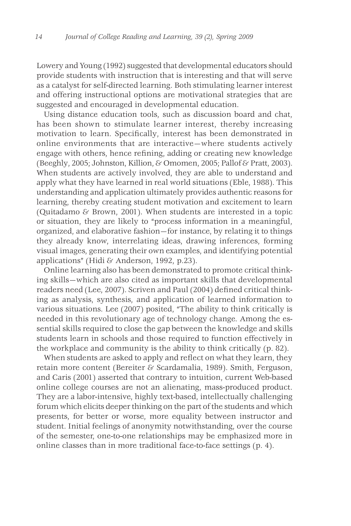Lowery and Young (1992) suggested that developmental educators should provide students with instruction that is interesting and that will serve as a catalyst for self-directed learning. Both stimulating learner interest and offering instructional options are motivational strategies that are suggested and encouraged in developmental education.

Using distance education tools, such as discussion board and chat, has been shown to stimulate learner interest, thereby increasing motivation to learn. Specifically, interest has been demonstrated in online environments that are interactive—where students actively engage with others, hence refining, adding or creating new knowledge (Beeghly, 2005; Johnston, Killion, & Omomen, 2005; Pallof & Pratt, 2003). When students are actively involved, they are able to understand and apply what they have learned in real world situations (Eble, 1988). This understanding and application ultimately provides authentic reasons for learning, thereby creating student motivation and excitement to learn (Quitadamo & Brown, 2001). When students are interested in a topic or situation, they are likely to "process information in a meaningful, organized, and elaborative fashion—for instance, by relating it to things they already know, interrelating ideas, drawing inferences, forming visual images, generating their own examples, and identifying potential applications" (Hidi & Anderson, 1992, p.23).

Online learning also has been demonstrated to promote critical thinking skills—which are also cited as important skills that developmental readers need (Lee, 2007). Scriven and Paul (2004) defined critical thinking as analysis, synthesis, and application of learned information to various situations. Lee (2007) posited, "The ability to think critically is needed in this revolutionary age of technology change. Among the essential skills required to close the gap between the knowledge and skills students learn in schools and those required to function effectively in the workplace and community is the ability to think critically (p. 82).

When students are asked to apply and reflect on what they learn, they retain more content (Bereiter & Scardamalia, 1989). Smith, Ferguson, and Caris (2001) asserted that contrary to intuition, current Web-based online college courses are not an alienating, mass-produced product. They are a labor-intensive, highly text-based, intellectually challenging forum which elicits deeper thinking on the part of the students and which presents, for better or worse, more equality between instructor and student. Initial feelings of anonymity notwithstanding, over the course of the semester, one-to-one relationships may be emphasized more in online classes than in more traditional face-to-face settings (p. 4).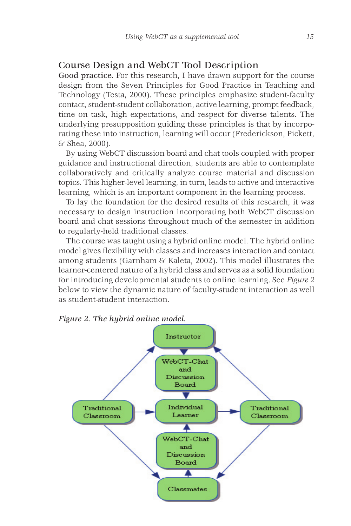## Course Design and WebCT Tool Description

Good practice. For this research, I have drawn support for the course design from the Seven Principles for Good Practice in Teaching and Technology (Testa, 2000). These principles emphasize student-faculty contact, student-student collaboration, active learning, prompt feedback, time on task, high expectations, and respect for diverse talents. The underlying presupposition guiding these principles is that by incorporating these into instruction, learning will occur (Frederickson, Pickett, & Shea, 2000).

By using WebCT discussion board and chat tools coupled with proper guidance and instructional direction, students are able to contemplate collaboratively and critically analyze course material and discussion topics. This higher-level learning, in turn, leads to active and interactive learning, which is an important component in the learning process.

To lay the foundation for the desired results of this research, it was necessary to design instruction incorporating both WebCT discussion board and chat sessions throughout much of the semester in addition to regularly-held traditional classes.

The course was taught using a hybrid online model. The hybrid online model gives flexibility with classes and increases interaction and contact among students (Garnham  $\&$  Kaleta, 2002). This model illustrates the learner-centered nature of a hybrid class and serves as a solid foundation for introducing developmental students to online learning. See *Figure 2* below to view the dynamic nature of faculty-student interaction as well as student-student interaction.



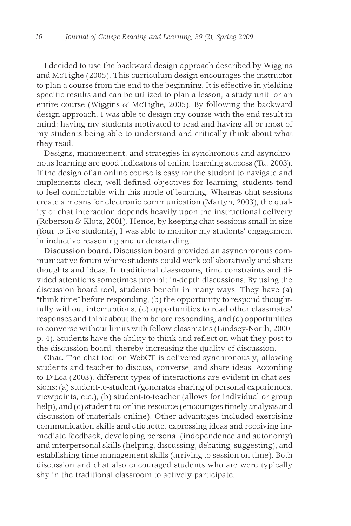I decided to use the backward design approach described by Wiggins and McTighe (2005). This curriculum design encourages the instructor to plan a course from the end to the beginning. It is effective in yielding specific results and can be utilized to plan a lesson, a study unit, or an entire course (Wiggins  $\&$  McTighe, 2005). By following the backward design approach, I was able to design my course with the end result in mind: having my students motivated to read and having all or most of my students being able to understand and critically think about what they read.

Designs, management, and strategies in synchronous and asynchronous learning are good indicators of online learning success (Tu, 2003). If the design of an online course is easy for the student to navigate and implements clear, well-defined objectives for learning, students tend to feel comfortable with this mode of learning. Whereas chat sessions create a means for electronic communication (Martyn, 2003), the quality of chat interaction depends heavily upon the instructional delivery (Roberson & Klotz, 2001). Hence, by keeping chat sessions small in size (four to five students), I was able to monitor my students' engagement in inductive reasoning and understanding.

Discussion board. Discussion board provided an asynchronous communicative forum where students could work collaboratively and share thoughts and ideas. In traditional classrooms, time constraints and divided attentions sometimes prohibit in-depth discussions. By using the discussion board tool, students benefit in many ways. They have (a) "think time" before responding, (b) the opportunity to respond thoughtfully without interruptions, (c) opportunities to read other classmates' responses and think about them before responding, and (d) opportunities to converse without limits with fellow classmates (Lindsey-North, 2000, p. 4). Students have the ability to think and reflect on what they post to the discussion board, thereby increasing the quality of discussion.

Chat. The chat tool on WebCT is delivered synchronously, allowing students and teacher to discuss, converse, and share ideas. According to D'Eca (2003), different types of interactions are evident in chat sessions: (a) student-to-student (generates sharing of personal experiences, viewpoints, etc.), (b) student-to-teacher (allows for individual or group help), and (c) student-to-online-resource (encourages timely analysis and discussion of materials online). Other advantages included exercising communication skills and etiquette, expressing ideas and receiving immediate feedback, developing personal (independence and autonomy) and interpersonal skills (helping, discussing, debating, suggesting), and establishing time management skills (arriving to session on time). Both discussion and chat also encouraged students who are were typically shy in the traditional classroom to actively participate.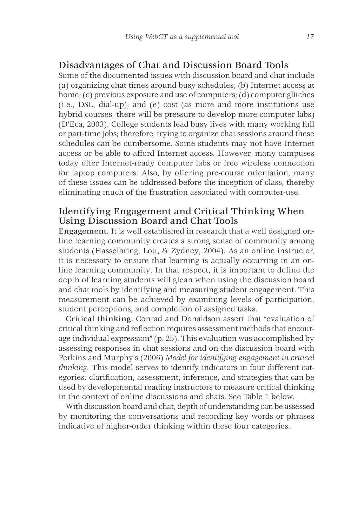### Disadvantages of Chat and Discussion Board Tools

Some of the documented issues with discussion board and chat include (a) organizing chat times around busy schedules; (b) Internet access at home; (c) previous exposure and use of computers; (d) computer glitches (i.e., DSL, dial-up); and (e) cost (as more and more institutions use hybrid courses, there will be pressure to develop more computer labs) (D'Eca, 2003). College students lead busy lives with many working full or part-time jobs; therefore, trying to organize chat sessions around these schedules can be cumbersome. Some students may not have Internet access or be able to afford Internet access. However, many campuses today offer Internet-ready computer labs or free wireless connection for laptop computers. Also, by offering pre-course orientation, many of these issues can be addressed before the inception of class, thereby eliminating much of the frustration associated with computer-use.

# Identifying Engagement and Critical Thinking When Using Discussion Board and Chat Tools

Engagement. It is well established in research that a well designed online learning community creates a strong sense of community among students (Hasselbring, Lott, & Zydney, 2004). As an online instructor, it is necessary to ensure that learning is actually occurring in an online learning community. In that respect, it is important to define the depth of learning students will glean when using the discussion board and chat tools by identifying and measuring student engagement. This measurement can be achieved by examining levels of participation, student perceptions, and completion of assigned tasks.

Critical thinking. Conrad and Donaldson assert that "evaluation of critical thinking and reflection requires assessment methods that encourage individual expression" (p. 25). This evaluation was accomplished by assessing responses in chat sessions and on the discussion board with Perkins and Murphy's (2006) *Model for identifying engagement in critical thinking.* This model serves to identify indicators in four different categories: clarification, assessment, inference, and strategies that can be used by developmental reading instructors to measure critical thinking in the context of online discussions and chats. See Table 1 below.

With discussion board and chat, depth of understanding can be assessed by monitoring the conversations and recording key words or phrases indicative of higher-order thinking within these four categories.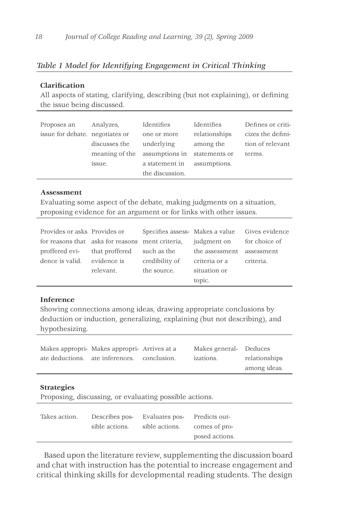### *Table 1 Model for Identifying Engagement in Critical Thinking*

#### **Clarification**

All aspects of stating, clarifying, describing (but not explaining), or defining the issue being discussed.

| Proposes an                     | Analyzes,      | Identifies      | Identifies    | Defines or criti- |
|---------------------------------|----------------|-----------------|---------------|-------------------|
| issue for debate. negotiates or |                | one or more     | relationships | cizes the defini- |
|                                 | discusses the  | underlying      | among the     | tion of relevant  |
|                                 | meaning of the | assumptions in  | statements or | terms.            |
|                                 | issue.         | a statement in  | assumptions.  |                   |
|                                 |                | the discussion. |               |                   |

#### **Assessment**

Evaluating some aspect of the debate, making judgments on a situation, proposing evidence for an argument or for links with other issues.

| Provides or asks Provides or                     |                |                | Specifies assess-Makes a value Gives evidence |           |
|--------------------------------------------------|----------------|----------------|-----------------------------------------------|-----------|
| for reasons that asks for reasons ment criteria. |                |                | judgment on for choice of                     |           |
| proffered evi-                                   | that proffered | such as the    | the assessment assessment                     |           |
| dence is valid.                                  | evidence is    | credibility of | criteria or a                                 | criteria. |
|                                                  | relevant.      | the source.    | situation or                                  |           |
|                                                  |                |                | topic.                                        |           |

#### **Inference**

Showing connections among ideas, drawing appropriate conclusions by deduction or induction, generalizing, explaining (but not describing), and hypothesizing.

| Makes appropri- Makes appropri- Arrives at a | Makes general- Deduces |               |
|----------------------------------------------|------------------------|---------------|
| ate deductions. ate inferences, conclusion.  | izations.              | relationships |
|                                              |                        | among ideas.  |
|                                              |                        |               |

#### **Strategies**

Proposing, discussing, or evaluating possible actions.

| Takes action. | Describes pos-<br>Evaluates pos- |                | Predicts out-  |
|---------------|----------------------------------|----------------|----------------|
|               | sible actions.                   | sible actions. | comes of pro-  |
|               |                                  |                | posed actions. |

Based upon the literature review, supplementing the discussion board and chat with instruction has the potential to increase engagement and critical thinking skills for developmental reading students. The design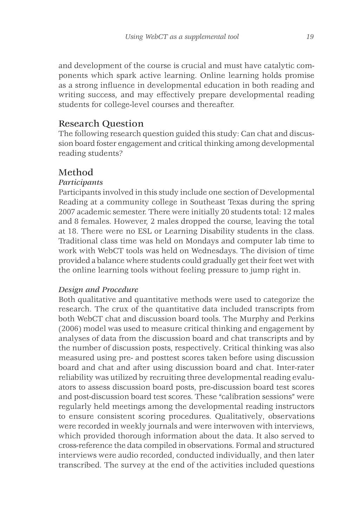and development of the course is crucial and must have catalytic components which spark active learning. Online learning holds promise as a strong influence in developmental education in both reading and writing success, and may effectively prepare developmental reading students for college-level courses and thereafter.

## Research Question

The following research question guided this study: Can chat and discussion board foster engagement and critical thinking among developmental reading students?

# Method

## *Participants*

Participants involved in this study include one section of Developmental Reading at a community college in Southeast Texas during the spring 2007 academic semester. There were initially 20 students total: 12 males and 8 females. However, 2 males dropped the course, leaving the total at 18. There were no ESL or Learning Disability students in the class. Traditional class time was held on Mondays and computer lab time to work with WebCT tools was held on Wednesdays. The division of time provided a balance where students could gradually get their feet wet with the online learning tools without feeling pressure to jump right in.

### *Design and Procedure*

Both qualitative and quantitative methods were used to categorize the research. The crux of the quantitative data included transcripts from both WebCT chat and discussion board tools. The Murphy and Perkins (2006) model was used to measure critical thinking and engagement by analyses of data from the discussion board and chat transcripts and by the number of discussion posts, respectively. Critical thinking was also measured using pre- and posttest scores taken before using discussion board and chat and after using discussion board and chat. Inter-rater reliability was utilized by recruiting three developmental reading evaluators to assess discussion board posts, pre-discussion board test scores and post-discussion board test scores. These "calibration sessions" were regularly held meetings among the developmental reading instructors to ensure consistent scoring procedures. Qualitatively, observations were recorded in weekly journals and were interwoven with interviews, which provided thorough information about the data. It also served to cross-reference the data compiled in observations. Formal and structured interviews were audio recorded, conducted individually, and then later transcribed. The survey at the end of the activities included questions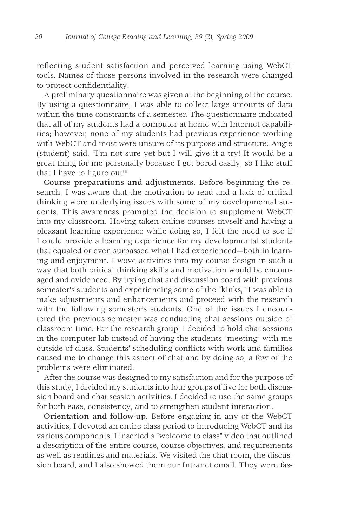reflecting student satisfaction and perceived learning using WebCT tools. Names of those persons involved in the research were changed to protect confidentiality.

A preliminary questionnaire was given at the beginning of the course. By using a questionnaire, I was able to collect large amounts of data within the time constraints of a semester. The questionnaire indicated that all of my students had a computer at home with Internet capabilities; however, none of my students had previous experience working with WebCT and most were unsure of its purpose and structure: Angie (student) said, "I'm not sure yet but I will give it a try! It would be a great thing for me personally because I get bored easily, so I like stuff that I have to figure out!"

Course preparations and adjustments. Before beginning the research, I was aware that the motivation to read and a lack of critical thinking were underlying issues with some of my developmental students. This awareness prompted the decision to supplement WebCT into my classroom. Having taken online courses myself and having a pleasant learning experience while doing so, I felt the need to see if I could provide a learning experience for my developmental students that equaled or even surpassed what I had experienced—both in learning and enjoyment. I wove activities into my course design in such a way that both critical thinking skills and motivation would be encouraged and evidenced. By trying chat and discussion board with previous semester's students and experiencing some of the "kinks," I was able to make adjustments and enhancements and proceed with the research with the following semester's students. One of the issues I encountered the previous semester was conducting chat sessions outside of classroom time. For the research group, I decided to hold chat sessions in the computer lab instead of having the students "meeting" with me outside of class. Students' scheduling conflicts with work and families caused me to change this aspect of chat and by doing so, a few of the problems were eliminated.

After the course was designed to my satisfaction and for the purpose of this study, I divided my students into four groups of five for both discussion board and chat session activities. I decided to use the same groups for both ease, consistency, and to strengthen student interaction.

Orientation and follow-up. Before engaging in any of the WebCT activities, I devoted an entire class period to introducing WebCT and its various components. I inserted a "welcome to class" video that outlined a description of the entire course, course objectives, and requirements as well as readings and materials. We visited the chat room, the discussion board, and I also showed them our Intranet email. They were fas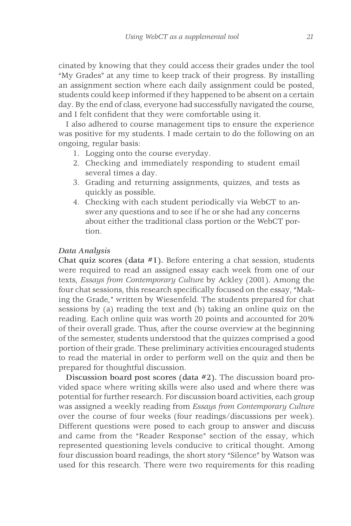cinated by knowing that they could access their grades under the tool "My Grades" at any time to keep track of their progress. By installing an assignment section where each daily assignment could be posted, students could keep informed if they happened to be absent on a certain day. By the end of class, everyone had successfully navigated the course, and I felt confident that they were comfortable using it.

I also adhered to course management tips to ensure the experience was positive for my students. I made certain to do the following on an ongoing, regular basis:

- 1. Logging onto the course everyday.
- 2. Checking and immediately responding to student email several times a day.
- 3. Grading and returning assignments, quizzes, and tests as quickly as possible.
- 4. Checking with each student periodically via WebCT to answer any questions and to see if he or she had any concerns about either the traditional class portion or the WebCT portion.

#### *Data Analysis*

Chat quiz scores (data #1). Before entering a chat session, students were required to read an assigned essay each week from one of our texts, *Essays from Contemporary Culture* by Ackley (2001). Among the four chat sessions, this research specifically focused on the essay, "Making the Grade*,*" written by Wiesenfeld. The students prepared for chat sessions by (a) reading the text and (b) taking an online quiz on the reading. Each online quiz was worth 20 points and accounted for 20% of their overall grade. Thus, after the course overview at the beginning of the semester, students understood that the quizzes comprised a good portion of their grade. These preliminary activities encouraged students to read the material in order to perform well on the quiz and then be prepared for thoughtful discussion.

Discussion board post scores (data #2). The discussion board provided space where writing skills were also used and where there was potential for further research. For discussion board activities, each group was assigned a weekly reading from *Essays from Contemporary Culture* over the course of four weeks (four readings/discussions per week). Different questions were posed to each group to answer and discuss and came from the "Reader Response" section of the essay, which represented questioning levels conducive to critical thought. Among four discussion board readings, the short story "Silence" by Watson was used for this research. There were two requirements for this reading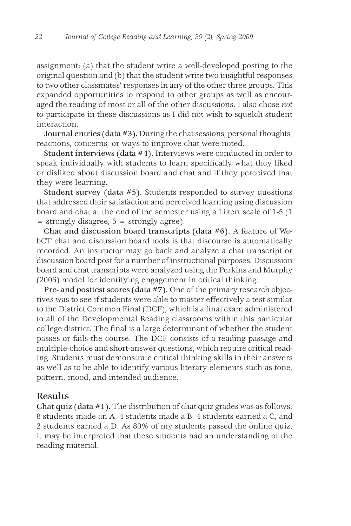assignment: (a) that the student write a well-developed posting to the original question and (b) that the student write two insightful responses to two other classmates' responses in any of the other three groups. This expanded opportunities to respond to other groups as well as encouraged the reading of most or all of the other discussions. I also chose *not* to participate in these discussions as I did not wish to squelch student interaction.

Journal entries (data #3). During the chat sessions, personal thoughts, reactions, concerns, or ways to improve chat were noted.

Student interviews (data #4). Interviews were conducted in order to speak individually with students to learn specifically what they liked or disliked about discussion board and chat and if they perceived that they were learning.

Student survey (data #5). Students responded to survey questions that addressed their satisfaction and perceived learning using discussion board and chat at the end of the semester using a Likert scale of 1-5 (1 = strongly disagree, 5 = strongly agree).

Chat and discussion board transcripts (data #6). A feature of WebCT chat and discussion board tools is that discourse is automatically recorded. An instructor may go back and analyze a chat transcript or discussion board post for a number of instructional purposes. Discussion board and chat transcripts were analyzed using the Perkins and Murphy (2006) model for identifying engagement in critical thinking.

Pre- and posttest scores (data #7). One of the primary research objectives was to see if students were able to master effectively a test similar to the District Common Final (DCF), which is a final exam administered to all of the Developmental Reading classrooms within this particular college district. The final is a large determinant of whether the student passes or fails the course. The DCF consists of a reading passage and multiple-choice and short-answer questions, which require critical reading. Students must demonstrate critical thinking skills in their answers as well as to be able to identify various literary elements such as tone, pattern, mood, and intended audience.

### Results

Chat quiz (data #1). The distribution of chat quiz grades was as follows: 8 students made an A, 4 students made a B, 4 students earned a C, and 2 students earned a D. As 80% of my students passed the online quiz, it may be interpreted that these students had an understanding of the reading material.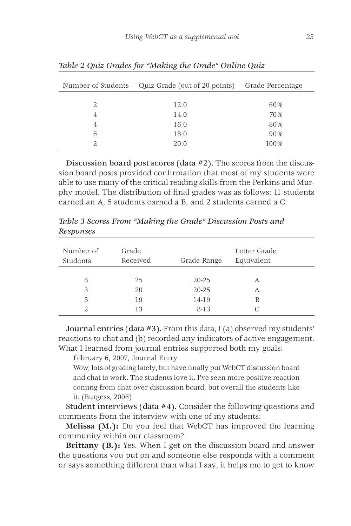| Number of Students | Quiz Grade (out of 20 points) Grade Percentage |      |
|--------------------|------------------------------------------------|------|
| 2                  | 12.0                                           | 60%  |
| $\overline{4}$     | 14.0                                           | 70%  |
| $\overline{4}$     | 16.0                                           | 80%  |
| 6                  | 18.0                                           | 90%  |
|                    | 20.0                                           | 100% |

*Table 2 Quiz Grades for "Making the Grade" Online Quiz*

Discussion board post scores (data #2). The scores from the discussion board posts provided confirmation that most of my students were able to use many of the critical reading skills from the Perkins and Murphy model. The distribution of final grades was as follows: 11 students earned an A, 5 students earned a B, and 2 students earned a C.

| Number of<br>Students | Grade<br>Received | Grade Range | Letter Grade<br>Equivalent |  |
|-----------------------|-------------------|-------------|----------------------------|--|
| 8                     | 25                | $20 - 25$   | A                          |  |
| 3                     | 20                | $20 - 25$   | А                          |  |
| .5                    | 19                | 14-19       | В                          |  |
|                       | 13                | $8 - 13$    |                            |  |

*Table 3 Scores From "Making the Grade" Discussion Posts and Responses*

Journal entries (data #3). From this data, I (a) observed my students' reactions to chat and (b) recorded any indicators of active engagement. What I learned from journal entries supported both my goals:

February 6, 2007, Journal Entry

Wow, lots of grading lately, but have finally put WebCT discussion board and chat to work. The students love it. I've seen more positive reaction coming from chat over discussion board, but overall the students like it. (Burgess, 2006)

Student interviews (data #4). Consider the following questions and comments from the interview with one of my students:

**Melissa (M.):** Do you feel that WebCT has improved the learning community within our classroom?

**Brittany (B.):** Yes. When I get on the discussion board and answer the questions you put on and someone else responds with a comment or says something different than what I say, it helps me to get to know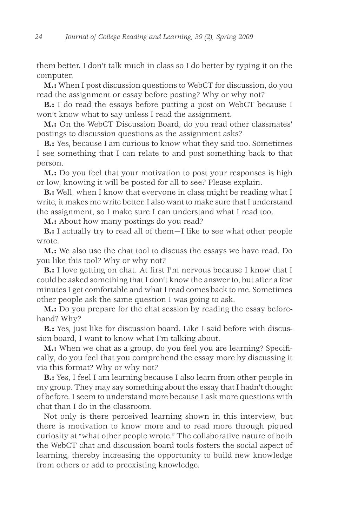them better. I don't talk much in class so I do better by typing it on the computer.

**M.:** When I post discussion questions to WebCT for discussion, do you read the assignment or essay before posting? Why or why not?

**B.:** I do read the essays before putting a post on WebCT because I won't know what to say unless I read the assignment.

**M.:** On the WebCT Discussion Board, do you read other classmates' postings to discussion questions as the assignment asks?

**B.:** Yes, because I am curious to know what they said too. Sometimes I see something that I can relate to and post something back to that person.

**M.:** Do you feel that your motivation to post your responses is high or low, knowing it will be posted for all to see? Please explain.

**B.:** Well, when I know that everyone in class might be reading what I write, it makes me write better. I also want to make sure that I understand the assignment, so I make sure I can understand what I read too.

**M.:** About how many postings do you read?

**B.:** I actually try to read all of them—I like to see what other people wrote.

**M.:** We also use the chat tool to discuss the essays we have read. Do you like this tool? Why or why not?

**B.:** I love getting on chat. At first I'm nervous because I know that I could be asked something that I don't know the answer to, but after a few minutes I get comfortable and what I read comes back to me. Sometimes other people ask the same question I was going to ask.

**M.:** Do you prepare for the chat session by reading the essay beforehand? Why?

**B.:** Yes, just like for discussion board. Like I said before with discussion board, I want to know what I'm talking about.

**M.:** When we chat as a group, do you feel you are learning? Specifically, do you feel that you comprehend the essay more by discussing it via this format? Why or why not?

**B.:** Yes, I feel I am learning because I also learn from other people in my group. They may say something about the essay that I hadn't thought of before. I seem to understand more because I ask more questions with chat than I do in the classroom.

Not only is there perceived learning shown in this interview, but there is motivation to know more and to read more through piqued curiosity at "what other people wrote." The collaborative nature of both the WebCT chat and discussion board tools fosters the social aspect of learning, thereby increasing the opportunity to build new knowledge from others or add to preexisting knowledge.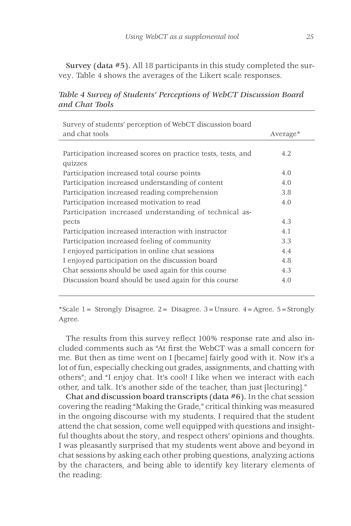Survey (data #5). All 18 participants in this study completed the survey. Table 4 shows the averages of the Likert scale responses.

| Survey of students' perception of WebCT discussion board     |                      |
|--------------------------------------------------------------|----------------------|
| and chat tools                                               | Average <sup>*</sup> |
|                                                              |                      |
| Participation increased scores on practice tests, tests, and | 4.2                  |
| quizzes                                                      |                      |
| Participation increased total course points                  | 4.0                  |
| Participation increased understanding of content             | 4.0                  |
| Participation increased reading comprehension                | 3.8                  |
| Participation increased motivation to read                   | 4.0                  |
| Participation increased understanding of technical as-       |                      |
| pects                                                        | 4.3                  |
| Participation increased interaction with instructor          | 4.1                  |
| Participation increased feeling of community                 | 3.3                  |
| I enjoyed participation in online chat sessions              | 4.4                  |
| I enjoyed participation on the discussion board              | 4.8                  |
| Chat sessions should be used again for this course           | 4.3                  |
| Discussion board should be used again for this course        | 4.0                  |

*Table 4 Survey of Students' Perceptions of WebCT Discussion Board and Chat Tools*

\*Scale 1= Strongly Disagree. 2= Disagree. 3=Unsure. 4=Agree. 5=Strongly Agree.

The results from this survey reflect 100% response rate and also included comments such as "At first the WebCT was a small concern for me. But then as time went on I [became] fairly good with it. Now it's a lot of fun, especially checking out grades, assignments, and chatting with others"; and "I enjoy chat. It's cool! I like when we interact with each other, and talk. It's another side of the teacher, than just [lecturing]."

Chat and discussion board transcripts (data #6). In the chat session covering the reading "Making the Grade," critical thinking was measured in the ongoing discourse with my students. I required that the student attend the chat session, come well equipped with questions and insightful thoughts about the story, and respect others' opinions and thoughts. I was pleasantly surprised that my students went above and beyond in chat sessions by asking each other probing questions, analyzing actions by the characters, and being able to identify key literary elements of the reading: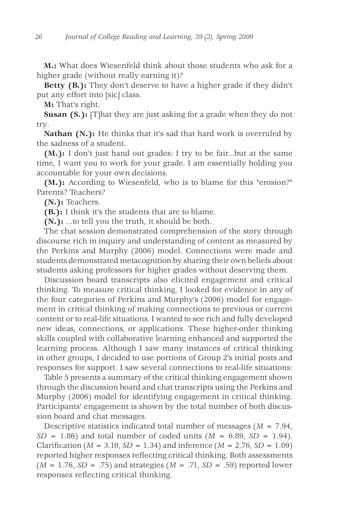**M.:** What does Wiesenfeld think about those students who ask for a higher grade (without really earning it)?

**Betty (B.):** They don't deserve to have a higher grade if they didn't put any effort into [sic] class.

**M:** That's right.

**Susan (S.):** [T]hat they are just asking for a grade when they do not try.

**Nathan (N.):** He thinks that it's sad that hard work is overruled by the sadness of a student.

**(M.):** I don't just hand out grades: I try to be fair...but at the same time, I want you to work for your grade. I am essentially holding you accountable for your own decisions.

**(M.):** According to Wiesenfeld, who is to blame for this "erosion?" Parents? Teachers?

**(N.):** Teachers.

**(B.):** I think it's the students that are to blame.

**(N.):** ...to tell you the truth, it should be both.

The chat session demonstrated comprehension of the story through discourse rich in inquiry and understanding of content as measured by the Perkins and Murphy (2006) model. Connections were made and students demonstrated metacognition by sharing their own beliefs about students asking professors for higher grades without deserving them.

Discussion board transcripts also elicited engagement and critical thinking. To measure critical thinking, I looked for evidence in any of the four categories of Perkins and Murphy's (2006) model for engagement in critical thinking of making connections to previous or current content or to real-life situations. I wanted to see rich and fully developed new ideas, connections, or applications. These higher-order thinking skills coupled with collaborative learning enhanced and supported the learning process. Although I saw many instances of critical thinking in other groups, I decided to use portions of Group 2's initial posts and responses for support. I saw several connections to real-life situations:

Table 5 presents a summary of the critical thinking engagement shown through the discussion board and chat transcripts using the Perkins and Murphy (2006) model for identifying engagement in critical thinking. Participants' engagement is shown by the total number of both discussion board and chat messages.

Descriptive statistics indicated total number of messages (*M* = 7.94,  $SD = 1.86$  and total number of coded units ( $M = 6.89$ ,  $SD = 1.94$ ). Clarification ( $M = 3.10$ ,  $SD = 1.34$ ) and inference ( $M = 2.76$ ,  $SD = 1.09$ ) reported higher responses reflecting critical thinking. Both assessments (*M* = 1.76, *SD* = .75) and strategies (*M* = .71, *SD* = .59) reported lower responses reflecting critical thinking.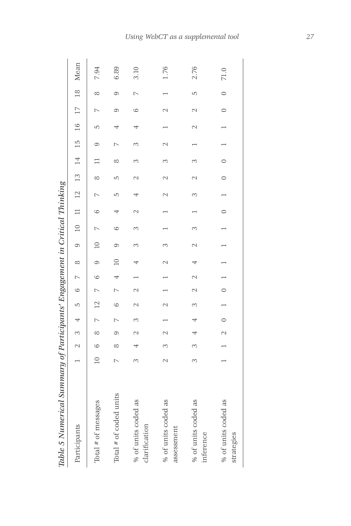| Table 5 Numerical Summary of Participants' Engagement in Critical Thinking |                |         |                |            |                 |                 |                |             |                |                  |               |               |                 |          |               |                |         |          |                                 |
|----------------------------------------------------------------------------|----------------|---------|----------------|------------|-----------------|-----------------|----------------|-------------|----------------|------------------|---------------|---------------|-----------------|----------|---------------|----------------|---------|----------|---------------------------------|
| Participants                                                               |                | $\sim$  | 3 <sup>4</sup> |            | LŊ              | $\circ$         | $\overline{a}$ | $\infty$    | $\circ$        |                  |               |               |                 |          |               |                |         |          | 10 11 12 13 14 15 16 17 18 Mean |
| Total # of messages                                                        | $\overline{a}$ | $\circ$ | $\infty$       | $7\quad12$ |                 | $\overline{a}$  | $^{\circ}$     |             | $\approx$      | $\triangleright$ | G             |               | $\infty$        | $\Box$   | G             | 5              |         | $\infty$ | 7.94                            |
| Total # of coded units                                                     |                | ∞       | $\circ$        |            | 6               |                 |                | $\supseteq$ | $\circ$        | 6                | 4             | 5             | 5               | $\infty$ |               | 4              | ග       | $\sigma$ | 6.89                            |
| % of units coded as<br>clarification                                       |                |         |                |            |                 |                 |                |             | 3              |                  | $\mathcal{L}$ |               |                 | 3        | 3             | 4              | 6       |          | 3.10                            |
| % of units coded as<br>assessment                                          |                | 3       |                |            | $\mathbf{\sim}$ |                 |                |             | 3              |                  |               | $\mathcal{L}$ | $\mathbf{\sim}$ | 3        | $\mathcal{L}$ |                | $\sim$  |          | 1.76                            |
| % of units coded as<br>inference                                           |                | M       |                |            | 3               | $\mathbf{\sim}$ |                |             | $\mathcal{L}$  | 3                |               | 3             |                 | 3        |               | $\mathcal{L}$  |         | 5        | 2.76                            |
| % of units coded as<br>strategies                                          |                |         | $\sim$         | $\circ$    |                 | $\circ$         | $\overline{a}$ |             | $\overline{ }$ |                  | $\circ$       |               | $\circ$         | $\circ$  |               | $\overline{ }$ | $\circ$ | $\circ$  | 71.0                            |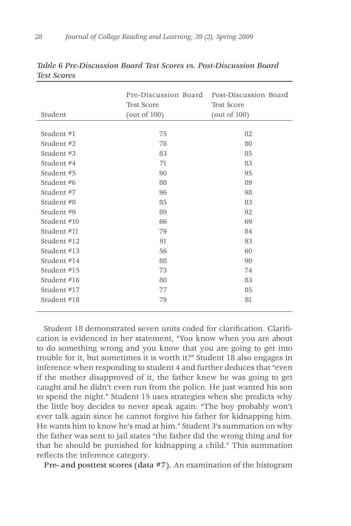|             | Pre-Discussion Board | Post-Discussion Board |
|-------------|----------------------|-----------------------|
|             | <b>Test Score</b>    | <b>Test Score</b>     |
| Student     | (out of $100$ )      | (out of $100$ )       |
|             |                      |                       |
| Student #1  | 75                   | 82                    |
| Student #2  | 78                   | 80                    |
| Student #3  | 83                   | 85                    |
| Student #4  | 71                   | 83                    |
| Student #5  | 90                   | 95                    |
| Student #6  | 88                   | 89                    |
| Student #7  | 96                   | 98                    |
| Student #8  | 85                   | 83                    |
| Student #9  | 89                   | 92                    |
| Student #10 | 66                   | 69                    |
| Student #11 | 79                   | 84                    |
| Student #12 | 91                   | 93                    |
| Student #13 | 56                   | 60                    |
| Student #14 | 88                   | 90                    |
| Student #15 | 73                   | 74                    |
| Student #16 | 80                   | 83                    |
| Student #17 | 77                   | 85                    |
| Student #18 | 79                   | 81                    |
|             |                      |                       |

*Table 6 Pre-Discussion Board Test Scores vs. Post-Discussion Board Test Scores*

Student 18 demonstrated seven units coded for clarification. Clarification is evidenced in her statement, "You know when you are about to do something wrong and you know that you are going to get into trouble for it, but sometimes it is worth it?" Student 18 also engages in inference when responding to student 4 and further deduces that "even if the mother disapproved of it, the father knew he was going to get caught and he didn't even run from the police. He just wanted his son to spend the night." Student 15 uses strategies when she predicts why the little boy decides to never speak again: "The boy probably won't ever talk again since he cannot forgive his father for kidnapping him. He wants him to know he's mad at him." Student 3's summation on why the father was sent to jail states "the father did the wrong thing and for that he should be punished for kidnapping a child." This summation reflects the inference category.

Pre- and posttest scores (data #7). An examination of the histogram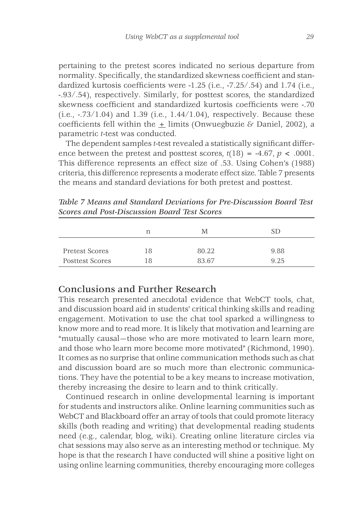pertaining to the pretest scores indicated no serious departure from normality. Specifically, the standardized skewness coefficient and standardized kurtosis coefficients were -1.25 (i.e., -7.25/.54) and 1.74 (i.e., -.93/.54), respectively. Similarly, for posttest scores, the standardized skewness coefficient and standardized kurtosis coefficients were -.70 (i.e.,  $-.73/1.04$ ) and 1.39 (i.e.,  $1.44/1.04$ ), respectively. Because these coefficients fell within the + limits (Onwuegbuzie & Daniel, 2002), a parametric *t*-test was conducted.

The dependent samples *t*-test revealed a statistically significant difference between the pretest and posttest scores,  $t(18) = -4.67$ ,  $p < .0001$ . This difference represents an effect size of .53. Using Cohen's (1988) criteria, this difference represents a moderate effect size. Table 7 presents the means and standard deviations for both pretest and posttest.

*Table 7 Means and Standard Deviations for Pre-Discussion Board Test Scores and Post-Discussion Board Test Scores*

|                 | n  | M     |      |
|-----------------|----|-------|------|
| Pretest Scores  | 18 | 80.22 | 9.88 |
| Posttest Scores | 18 | 83.67 | 9.25 |

## Conclusions and Further Research

This research presented anecdotal evidence that WebCT tools, chat, and discussion board aid in students' critical thinking skills and reading engagement. Motivation to use the chat tool sparked a willingness to know more and to read more. It is likely that motivation and learning are "mutually causal—those who are more motivated to learn learn more, and those who learn more become more motivated" (Richmond, 1990). It comes as no surprise that online communication methods such as chat and discussion board are so much more than electronic communications. They have the potential to be a key means to increase motivation, thereby increasing the desire to learn and to think critically.

Continued research in online developmental learning is important for students and instructors alike. Online learning communities such as WebCT and Blackboard offer an array of tools that could promote literacy skills (both reading and writing) that developmental reading students need (e.g., calendar, blog, wiki). Creating online literature circles via chat sessions may also serve as an interesting method or technique. My hope is that the research I have conducted will shine a positive light on using online learning communities, thereby encouraging more colleges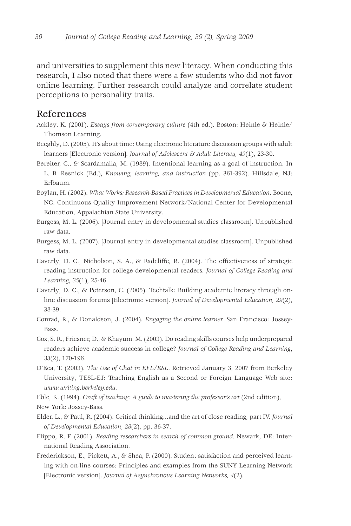and universities to supplement this new literacy. When conducting this research, I also noted that there were a few students who did not favor online learning. Further research could analyze and correlate student perceptions to personality traits.

### References

- Ackley, K. (2001). *Essays from contemporary culture* (4th ed.). Boston: Heinle & Heinle/ Thomson Learning.
- Beeghly, D. (2005). It's about time: Using electronic literature discussion groups with adult learners [Electronic version]. *Journal of Adolescent & Adult Literacy, 49*(1), 23-30.
- Bereiter, C., & Scardamalia, M. (1989). Intentional learning as a goal of instruction. In L. B. Resnick (Ed.), *Knowing, learning, and instruction* (pp. 361-392)*.* Hillsdale, NJ: Erlbaum.
- Boylan, H. (2002). *What Works: Research-Based Practices in Developmental Education*. Boone, NC: Continuous Quality Improvement Network/National Center for Developmental Education, Appalachian State University.
- Burgess, M. L. (2006). [Journal entry in developmental studies classroom]. Unpublished raw data.
- Burgess, M. L. (2007). [Journal entry in developmental studies classroom]. Unpublished raw data.
- Caverly, D. C., Nicholson, S. A., & Radcliffe, R. (2004). The effectiveness of strategic reading instruction for college developmental readers. *Journal of College Reading and Learning*, *35*(1), 25-46.
- Caverly, D. C., & Peterson, C. (2005). Techtalk: Building academic literacy through online discussion forums [Electronic version]. *Journal of Developmental Education, 29*(2), 38-39.
- Conrad, R., & Donaldson, J. (2004). *Engaging the online learner.* San Francisco: Jossey-Bass.
- Cox, S. R., Friesner, D., & Khayum, M. (2003). Do reading skills courses help underprepared readers achieve academic success in college? *Journal of College Reading and Learning*, *33*(2), 170-196.
- D'Eca, T. (2003). *The Use of Chat in EFL/ESL*. Retrieved January 3, 2007 from Berkeley University, TESL-EJ: Teaching English as a Second or Foreign Language Web site: *www.writing.berkeley.edu.*
- Eble, K. (1994). *Craft of teaching: A guide to mastering the professor's art* (2nd edition),

New York: Jossey-Bass*.*

- Elder, L., & Paul, R. (2004). Critical thinking...and the art of close reading*,* part IV. *Journal of Developmental Education*, *28*(2), pp. 36-37.
- Flippo, R. F. (2001). *Reading researchers in search of common ground.* Newark, DE: International Reading Association.
- Frederickson, E., Pickett, A., & Shea, P. (2000). Student satisfaction and perceived learning with on-line courses: Principles and examples from the SUNY Learning Network [Electronic version]. *Journal of Asynchronous Learning Networks, 4*(2).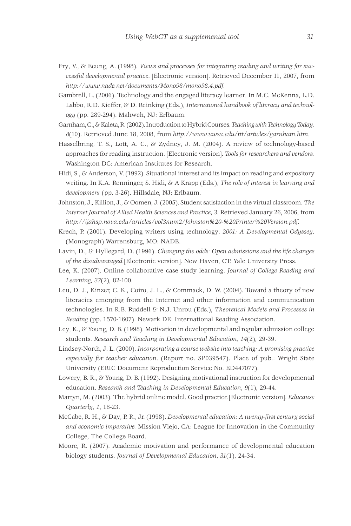- Fry, V., & Ecung, A. (1998). *Views and processes for integrating reading and writing for successful developmental practice*. [Electronic version]. Retrieved December 11, 2007, from *http://www.nade.net/documents/Mono98/mono98.4.pdf.*
- Gambrell, L. (2006). Technology and the engaged literacy learner*.* In M.C. McKenna, L.D. Labbo, R.D. Kieffer, & D. Reinking (Eds.), *International handbook of literacy and technology* (pp. 289-294). Mahweh, NJ: Erlbaum.
- Garnham, C., & Kaleta, R. (2002). Introduction to Hybrid Courses. *Teaching with Technology Today, 8*(10). Retrieved June 18, 2008, from *http://www.uwsa.edu/ttt/articles/garnham.htm.*
- Hasselbring, T. S., Lott, A. C., & Zydney, J. M. (2004). A review of technology-based approaches for reading instruction. [Electronic version]. *Tools for researchers and vendors.*  Washington DC: American Institutes for Research.
- Hidi, S., & Anderson, V. (1992). Situational interest and its impact on reading and expository writing. In K.A. Renninger, S. Hidi, & A Krapp (Eds.), *The role of interest in learning and development* (pp. 3-26). Hillsdale, NJ: Erlbaum.
- Johnston, J.*,* Killion, J., & Oomen, J. (2005). Student satisfaction in the virtual classroom*. The Internet Journal of Allied Health Sciences and Practice*, *3*. Retrieved January 26, 2006, from *http://ijahsp.nova.edu/articles/vol3num2/Johnston%20-%20Printer%20Version.pdf.*
- Krech, P. (2001). Developing writers using technology. *2001: A Developmental Odyssey*. (Monograph) Warrensburg, MO: NADE.
- Lavin, D., & Hyllegard, D. (1996). *Changing the odds: Open admissions and the life changes of the disadvantaged* [Electronic version]. New Haven, CT: Yale University Press.
- Lee, K. (2007). Online collaborative case study learning. *Journal of College Reading and Learning, 37*(2), 82-100.
- Leu, D. J., Kinzer, C. K., Coiro, J. L., & Commack, D. W. (2004). Toward a theory of new literacies emerging from the Internet and other information and communication technologies. In R.B. Ruddell & N.J. Unrou (Eds.), *Theoretical Models and Processes in Reading* (pp. 1570-1607). Newark DE: International Reading Association.
- Ley, K., & Young, D. B. (1998). Motivation in developmental and regular admission college students. *Research and Teaching in Developmental Education, 14*(2), 29**-**39.
- Lindsey-North, J. L. (2000). *Incorporating a course website into teaching: A promising practice especially for teacher education*. (Report no. SP039547). Place of pub.: Wright State University (ERIC Document Reproduction Service No. ED447077).
- Lowery, B. R., & Young, D. B. (1992). Designing motivational instruction for developmental education. *Research and Teaching in Developmental Education*, *9*(1), 29-44.
- Martyn, M. (2003). The hybrid online model. Good practice [Electronic version]. *Educause Quarterly*, *1*, 18-23.
- McCabe, R. H., & Day, P. R., Jr. (1998). *Developmental education: A twenty-first century social and economic imperative.* Mission Viejo, CA: League for Innovation in the Community College, The College Board.
- Moore, R. (2007). Academic motivation and performance of developmental education biology students. *Journal of Developmental Education*, *31*(1), 24-34.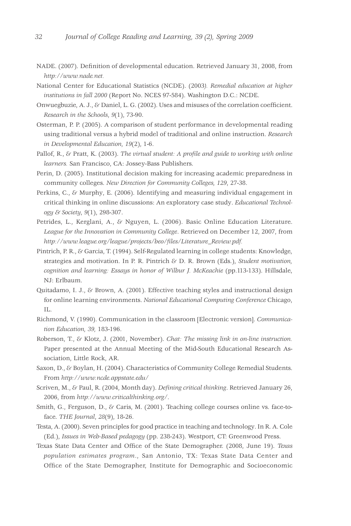- NADE. (2007). Definition of developmental education. Retrieved January 31, 2008, from *http://www.nade.net.*
- National Center for Educational Statistics (NCDE). (2003*). Remedial education at higher institutions in fall 2000* (Report No. NCES 97-584). Washington D.C.: NCDE.
- Onwuegbuzie, A. J., & Daniel, L. G. (2002). Uses and misuses of the correlation coefficient. *Research in the Schools*, *9*(1), 73-90.
- Osterman, P. P. (2005). A comparison of student performance in developmental reading using traditional versus a hybrid model of traditional and online instruction. *Research in Developmental Education, 19*(2), 1-6.
- Pallof, R., & Pratt, K. (2003). *The virtual student: A profile and guide to working with online learners.* San Francisco, CA: Jossey-Bass Publishers.
- Perin, D. (2005). Institutional decision making for increasing academic preparedness in community colleges. *New Direction for Community Colleges, 129*, 27-38.
- Perkins, C., & Murphy, E. (2006). Identifying and measuring individual engagement in critical thinking in online discussions: An exploratory case study. *Educational Technology & Society*, *9*(1), 298-307.
- Petrides, L., Kerglani, A., & Nguyen, L. (2006). Basic Online Education Literature. *League for the Innovation in Community College*. Retrieved on December 12, 2007, from *http://www.league.org/league/projects/beo/files/Literature\_Review.pdf.*
- Pintrich, P. R., & Garcia, T. (1994). Self-Regulated learning in college students: Knowledge, strategies and motivation. In P. R. Pintrich & D. R. Brown (Eds.), *Student motivation, cognition and learning: Essays in honor of Wilbur J. McKeachie* (pp.113-133). Hillsdale, NJ: Erlbaum.
- Quitadamo, I. J., & Brown, A. (2001). Effective teaching styles and instructional design for online learning environments. *National Educational Computing Conference* Chicago, IL.
- Richmond, V. (1990). Communication in the classroom [Electronic version]. *Communication Education, 39,* 183-196.
- Roberson, T., & Klotz, J. (2001, November). *Chat: The missing link in on-line instruction.* Paper presented at the Annual Meeting of the Mid-South Educational Research Association, Little Rock, AR.
- Saxon, D., & Boylan, H. (2004). Characteristics of Community College Remedial Students. From *http://www.ncde.appstate.edu/*
- Scriven, M., & Paul, R. (2004, Month day). *Defining critical thinking*. Retrieved January 26, 2006, from *http://www.criticalthinking.org/*.
- Smith, G., Ferguson, D., & Caris, M. (2001). Teaching college courses online vs. face-toface. *THE Journal*, *28*(9), 18-26.
- Testa, A. (2000). Seven principles for good practice in teaching and technology. In R. A. Cole (Ed.), *Issues in Web-Based pedagogy* (pp. 238-243). Westport, CT: Greenwood Press.
- Texas State Data Center and Office of the State Demographer. (2008, June 19). *Texas population estimates program*., San Antonio, TX: Texas State Data Center and Office of the State Demographer, Institute for Demographic and Socioeconomic